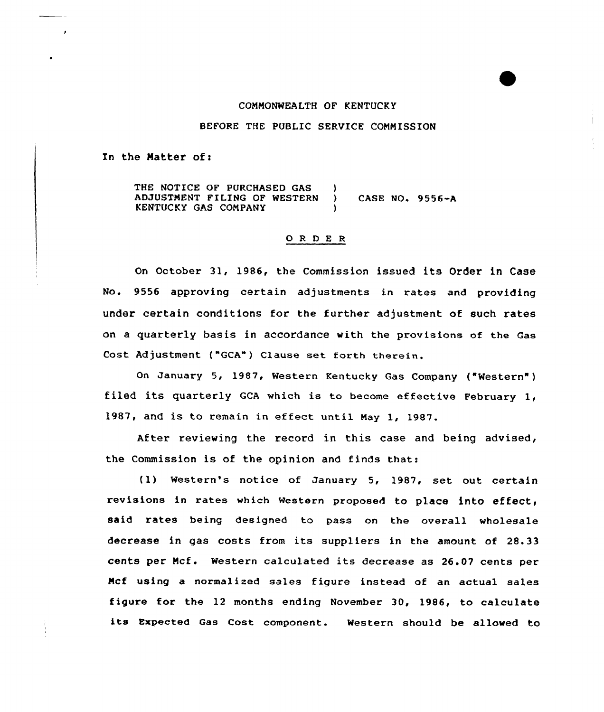#### COMMONWEALTH OF KENTUCKY

# BEFORE THE PUBLIC SERVICE COMMISSION

In the Matter of:

THE NOTICE OF PURCHASED GAS (3) ADJUSTMENT FILING OF WESTERN ) CASE NO. 9556-A KENTUCKY GAS COMPANY

## ORDER

On Octaber 31, 1986, the Commission issued its Order in Case No. 9556 approving certain adjustments in rates and providing under certain conditions for the further adjustment of such rates an a quarterly basis in accordance with the provisions of the Gas Cost Adjustment ("GCA") Clause set forth therein.

On January 5, 1987, Western Kentucky Gas Company ("Western" ) filed its quarterly GCA which is to become effective February 1, 1987, and is to remain in effect until May 1, 1987.

After reviewing the record in this case and being advised, the Commission is of the opinion and finds that:

(1) Western's natice of January 5, 1987, set out certain revisions in rates which Western proposed to place into effect, said rates being designed to pass on the overall wholesale decrease in gas costs from its suppliers in the amount of 28.33 cents per Mcf . Western calculated its decrease as 26. <sup>07</sup> cents per Mcf using a normalized sales figure instead of an actual sales figure for the 12 months ending November 30, 1986, to calculate its Expected Gas Cost component. Western should be allowed to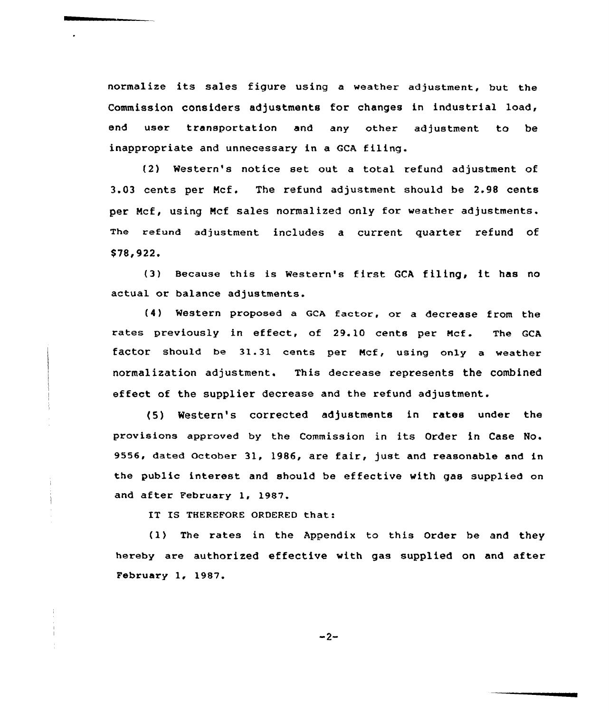normalize its sales figure using <sup>a</sup> weather adjustment, but the Commission considers adjustments for changes in industrial load, end user transportation and any other adjustment to be inappropriate and unnecessary in a GCA filing.

(2) Western's notice set out a total refund adjustment of 3.03 cents per Mcf. The refund adjustment should be 2.98 cents per Mcf, using Mcf sales normalized only for weather adjustments. The refund adjustment includes a current quarter refund of \$78,922.

(3) Because this is Western's first GCA filing, it has no actual or balance adjustments.

(4) western proposed a Gca factor, or a decrease from the rates previously in effect, of 29.10 cents per Ncf. The GCA factor should be 31.31 cents per Mcf, using only a weather normalization adjustment. This decrease represents the combined effect of the supplier decrease and the refund adjustment.

(5) Western's corrected adjustments in rates under the provisions approved by the Commission in its Order in Case No. 9556, dated October 31, 1986, are fair, just and reasonable and in the public interest and should be effective with gas supplied on and after February 1, 1987.

IT IS THEREFORE ORDERED that:

 $\mathbf{r}$ 

(1) The rates in the Appendix to this Order be and they hereby are authorized effective with gas supplied on and after February 1, 1987.

 $-2-$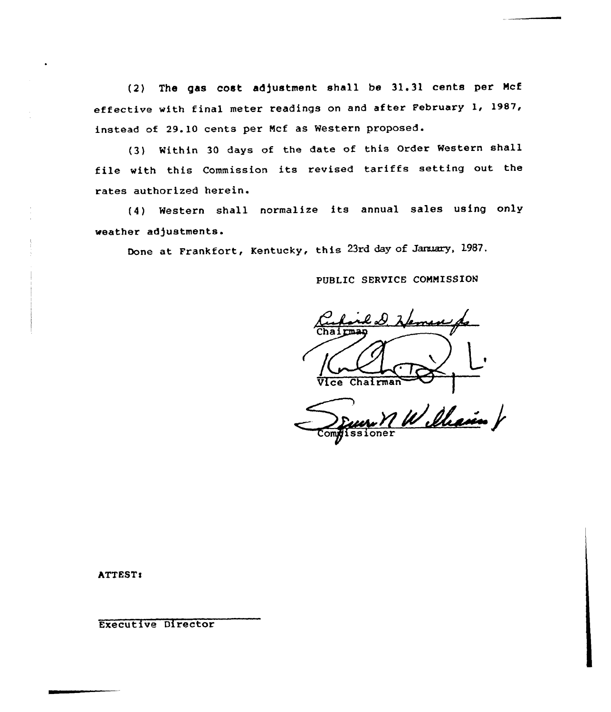(2) The gas cost adjustment shall be 31.31 cents per Mcf effective with final meter readings on and after February 1, 1987, instead of 29.10 cents per Ncf as Western proposed.

(3) Within <sup>30</sup> days of the date of this Order Western shall file with this Commission its revised tariffs setting out the rates authorized herein.

(4) Western shall normalize its annual sales using only weather adjustments.

Done at Frankfort, Kentucky, this 23rd day of January, 1987,

PUBLIC SERVICE COMMISSION

l.D. Heman  $\vert \vert$  , Vice Chairman

Co **z** issione  $7$  W Ileain V

ATTEST:

Executive Director